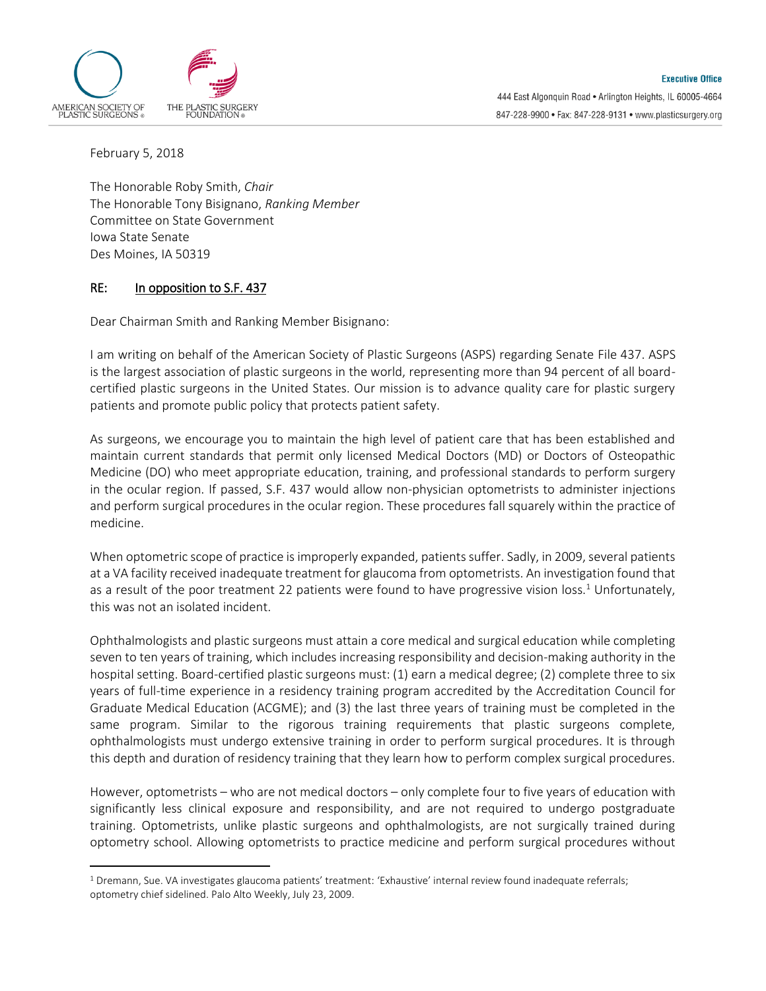

February 5, 2018

 $\overline{a}$ 

The Honorable Roby Smith, *Chair* The Honorable Tony Bisignano, *Ranking Member* Committee on State Government Iowa State Senate Des Moines, IA 50319

## RE: In opposition to S.F. 437

Dear Chairman Smith and Ranking Member Bisignano:

I am writing on behalf of the American Society of Plastic Surgeons (ASPS) regarding Senate File 437. ASPS is the largest association of plastic surgeons in the world, representing more than 94 percent of all boardcertified plastic surgeons in the United States. Our mission is to advance quality care for plastic surgery patients and promote public policy that protects patient safety.

As surgeons, we encourage you to maintain the high level of patient care that has been established and maintain current standards that permit only licensed Medical Doctors (MD) or Doctors of Osteopathic Medicine (DO) who meet appropriate education, training, and professional standards to perform surgery in the ocular region. If passed, S.F. 437 would allow non-physician optometrists to administer injections and perform surgical procedures in the ocular region. These procedures fall squarely within the practice of medicine.

When optometric scope of practice is improperly expanded, patients suffer. Sadly, in 2009, several patients at a VA facility received inadequate treatment for glaucoma from optometrists. An investigation found that as a result of the poor treatment 22 patients were found to have progressive vision loss.<sup>1</sup> Unfortunately, this was not an isolated incident.

Ophthalmologists and plastic surgeons must attain a core medical and surgical education while completing seven to ten years of training, which includes increasing responsibility and decision-making authority in the hospital setting. Board-certified plastic surgeons must: (1) earn a medical degree; (2) complete three to six years of full-time experience in a residency training program accredited by the Accreditation Council for Graduate Medical Education (ACGME); and (3) the last three years of training must be completed in the same program. Similar to the rigorous training requirements that plastic surgeons complete, ophthalmologists must undergo extensive training in order to perform surgical procedures. It is through this depth and duration of residency training that they learn how to perform complex surgical procedures.

However, optometrists – who are not medical doctors – only complete four to five years of education with significantly less clinical exposure and responsibility, and are not required to undergo postgraduate training. Optometrists, unlike plastic surgeons and ophthalmologists, are not surgically trained during optometry school. Allowing optometrists to practice medicine and perform surgical procedures without

<sup>1</sup> Dremann, Sue. VA investigates glaucoma patients' treatment: 'Exhaustive' internal review found inadequate referrals; optometry chief sidelined. Palo Alto Weekly, July 23, 2009.